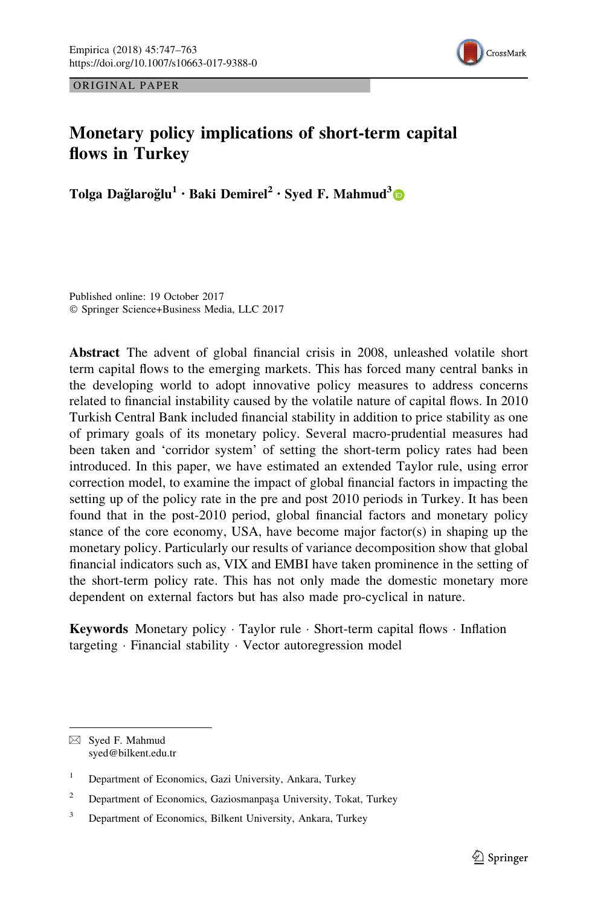

ORIGINAL PAPER

# Monetary policy implications of short-term capital flows in Turkey

Tolga Dağlaroğlu<sup>1</sup> • Baki Demirel<sup>2</sup> • Syed F. Mahmud<sup>3</sup> D

Published online: 19 October 2017 - Springer Science+Business Media, LLC 2017

Abstract The advent of global financial crisis in 2008, unleashed volatile short term capital flows to the emerging markets. This has forced many central banks in the developing world to adopt innovative policy measures to address concerns related to financial instability caused by the volatile nature of capital flows. In 2010 Turkish Central Bank included financial stability in addition to price stability as one of primary goals of its monetary policy. Several macro-prudential measures had been taken and 'corridor system' of setting the short-term policy rates had been introduced. In this paper, we have estimated an extended Taylor rule, using error correction model, to examine the impact of global financial factors in impacting the setting up of the policy rate in the pre and post 2010 periods in Turkey. It has been found that in the post-2010 period, global financial factors and monetary policy stance of the core economy, USA, have become major factor(s) in shaping up the monetary policy. Particularly our results of variance decomposition show that global financial indicators such as, VIX and EMBI have taken prominence in the setting of the short-term policy rate. This has not only made the domestic monetary more dependent on external factors but has also made pro-cyclical in nature.

Keywords Monetary policy · Taylor rule · Short-term capital flows · Inflation targeting - Financial stability - Vector autoregression model

 $\boxtimes$  Syed F. Mahmud syed@bilkent.edu.tr

<sup>&</sup>lt;sup>1</sup> Department of Economics, Gazi University, Ankara, Turkey

<sup>&</sup>lt;sup>2</sup> Department of Economics, Gaziosmanpaşa University, Tokat, Turkey

<sup>&</sup>lt;sup>3</sup> Department of Economics, Bilkent University, Ankara, Turkey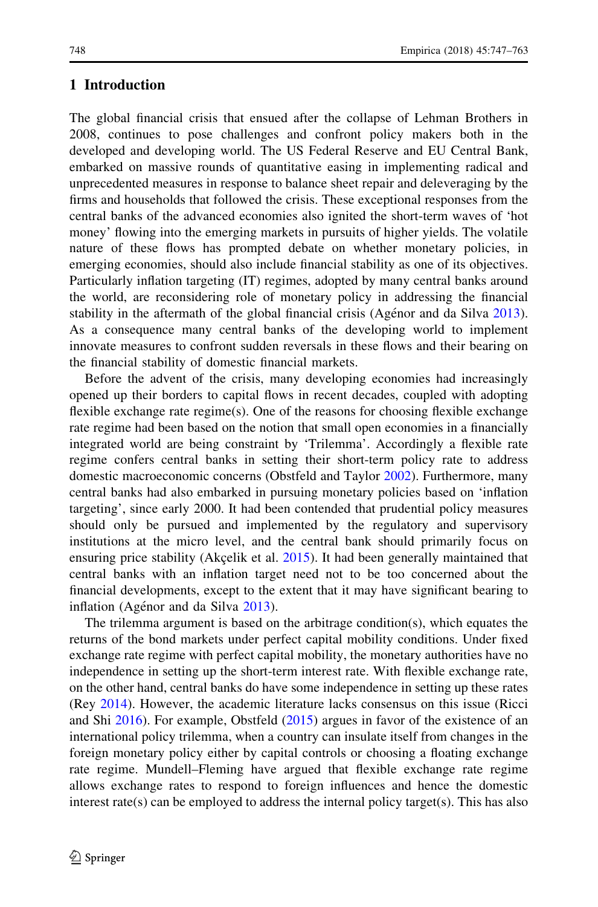# 1 Introduction

The global financial crisis that ensued after the collapse of Lehman Brothers in 2008, continues to pose challenges and confront policy makers both in the developed and developing world. The US Federal Reserve and EU Central Bank, embarked on massive rounds of quantitative easing in implementing radical and unprecedented measures in response to balance sheet repair and deleveraging by the firms and households that followed the crisis. These exceptional responses from the central banks of the advanced economies also ignited the short-term waves of 'hot money' flowing into the emerging markets in pursuits of higher yields. The volatile nature of these flows has prompted debate on whether monetary policies, in emerging economies, should also include financial stability as one of its objectives. Particularly inflation targeting (IT) regimes, adopted by many central banks around the world, are reconsidering role of monetary policy in addressing the financial stability in the aftermath of the global financial crisis (Agénor and da Silva [2013\)](#page-14-0). As a consequence many central banks of the developing world to implement innovate measures to confront sudden reversals in these flows and their bearing on the financial stability of domestic financial markets.

Before the advent of the crisis, many developing economies had increasingly opened up their borders to capital flows in recent decades, coupled with adopting flexible exchange rate regime(s). One of the reasons for choosing flexible exchange rate regime had been based on the notion that small open economies in a financially integrated world are being constraint by 'Trilemma'. Accordingly a flexible rate regime confers central banks in setting their short-term policy rate to address domestic macroeconomic concerns (Obstfeld and Taylor [2002](#page-15-0)). Furthermore, many central banks had also embarked in pursuing monetary policies based on 'inflation targeting', since early 2000. It had been contended that prudential policy measures should only be pursued and implemented by the regulatory and supervisory institutions at the micro level, and the central bank should primarily focus on ensuring price stability (Akçelik et al. [2015\)](#page-14-0). It had been generally maintained that central banks with an inflation target need not to be too concerned about the financial developments, except to the extent that it may have significant bearing to inflation (Agénor and da Silva [2013\)](#page-14-0).

The trilemma argument is based on the arbitrage condition(s), which equates the returns of the bond markets under perfect capital mobility conditions. Under fixed exchange rate regime with perfect capital mobility, the monetary authorities have no independence in setting up the short-term interest rate. With flexible exchange rate, on the other hand, central banks do have some independence in setting up these rates (Rey [2014\)](#page-16-0). However, the academic literature lacks consensus on this issue (Ricci and Shi [2016\)](#page-16-0). For example, Obstfeld ([2015](#page-15-0)) argues in favor of the existence of an international policy trilemma, when a country can insulate itself from changes in the foreign monetary policy either by capital controls or choosing a floating exchange rate regime. Mundell–Fleming have argued that flexible exchange rate regime allows exchange rates to respond to foreign influences and hence the domestic interest rate(s) can be employed to address the internal policy target(s). This has also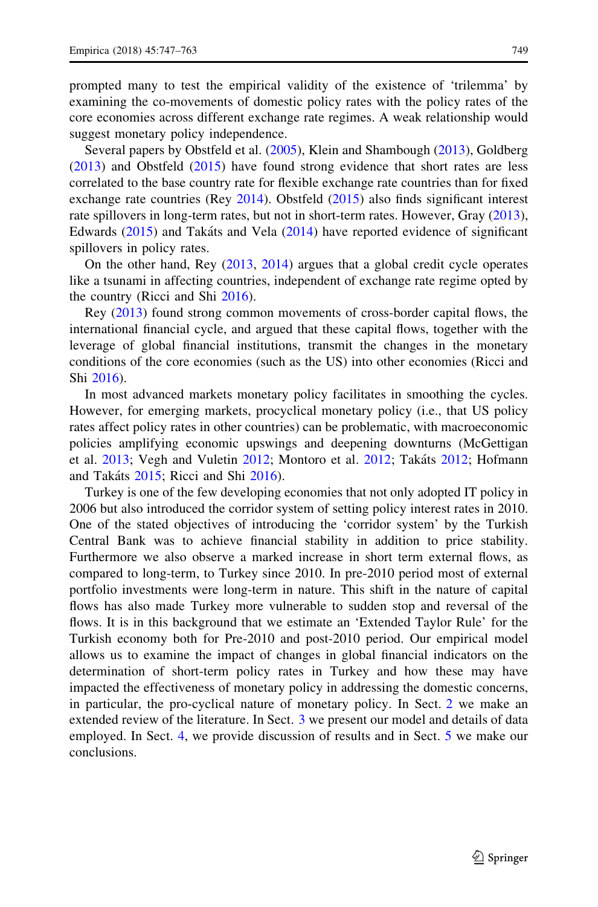prompted many to test the empirical validity of the existence of 'trilemma' by examining the co-movements of domestic policy rates with the policy rates of the core economies across different exchange rate regimes. A weak relationship would suggest monetary policy independence.

Several papers by Obstfeld et al. ([2005](#page-15-0)), Klein and Shambough [\(2013](#page-15-0)), Goldberg [\(2013](#page-15-0)) and Obstfeld ([2015\)](#page-15-0) have found strong evidence that short rates are less correlated to the base country rate for flexible exchange rate countries than for fixed exchange rate countries (Rey [2014\)](#page-16-0). Obstfeld [\(2015](#page-15-0)) also finds significant interest rate spillovers in long-term rates, but not in short-term rates. However, Gray ([2013\)](#page-15-0), Edwards  $(2015)$  $(2015)$  and Takáts and Vela  $(2014)$  $(2014)$  have reported evidence of significant spillovers in policy rates.

On the other hand, Rey [\(2013](#page-16-0), [2014](#page-16-0)) argues that a global credit cycle operates like a tsunami in affecting countries, independent of exchange rate regime opted by the country (Ricci and Shi [2016\)](#page-16-0).

Rey [\(2013](#page-16-0)) found strong common movements of cross-border capital flows, the international financial cycle, and argued that these capital flows, together with the leverage of global financial institutions, transmit the changes in the monetary conditions of the core economies (such as the US) into other economies (Ricci and Shi [2016\)](#page-16-0).

In most advanced markets monetary policy facilitates in smoothing the cycles. However, for emerging markets, procyclical monetary policy (i.e., that US policy rates affect policy rates in other countries) can be problematic, with macroeconomic policies amplifying economic upswings and deepening downturns (McGettigan et al. [2013](#page-15-0); Vegh and Vuletin [2012](#page-16-0); Montoro et al. [2012;](#page-15-0) Takáts 2012; Hofmann and Takáts [2015;](#page-15-0) Ricci and Shi [2016\)](#page-16-0).

Turkey is one of the few developing economies that not only adopted IT policy in 2006 but also introduced the corridor system of setting policy interest rates in 2010. One of the stated objectives of introducing the 'corridor system' by the Turkish Central Bank was to achieve financial stability in addition to price stability. Furthermore we also observe a marked increase in short term external flows, as compared to long-term, to Turkey since 2010. In pre-2010 period most of external portfolio investments were long-term in nature. This shift in the nature of capital flows has also made Turkey more vulnerable to sudden stop and reversal of the flows. It is in this background that we estimate an 'Extended Taylor Rule' for the Turkish economy both for Pre-2010 and post-2010 period. Our empirical model allows us to examine the impact of changes in global financial indicators on the determination of short-term policy rates in Turkey and how these may have impacted the effectiveness of monetary policy in addressing the domestic concerns, in particular, the pro-cyclical nature of monetary policy. In Sect. [2](#page-3-0) we make an extended review of the literature. In Sect. [3](#page-5-0) we present our model and details of data employed. In Sect. [4,](#page-8-0) we provide discussion of results and in Sect. [5](#page-13-0) we make our conclusions.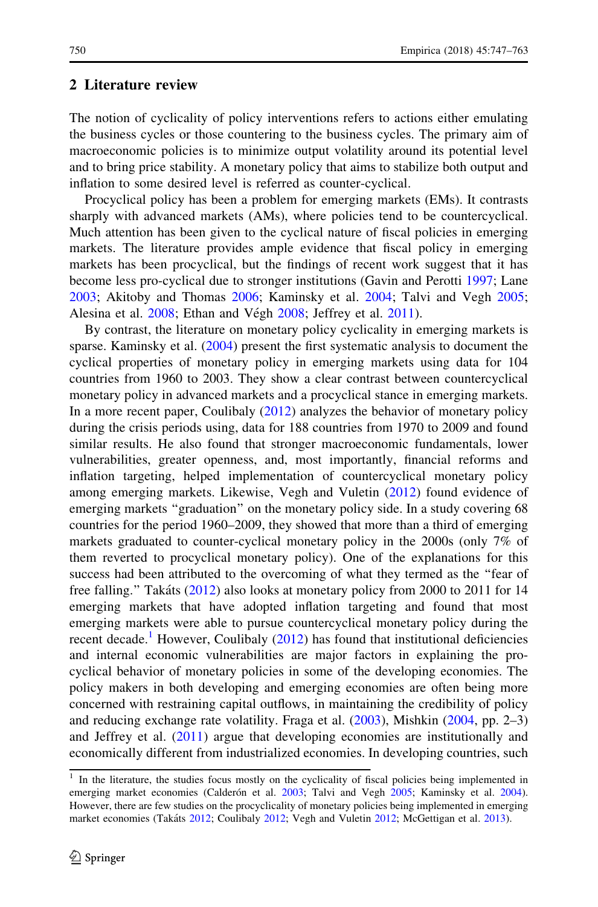## <span id="page-3-0"></span>2 Literature review

The notion of cyclicality of policy interventions refers to actions either emulating the business cycles or those countering to the business cycles. The primary aim of macroeconomic policies is to minimize output volatility around its potential level and to bring price stability. A monetary policy that aims to stabilize both output and inflation to some desired level is referred as counter-cyclical.

Procyclical policy has been a problem for emerging markets (EMs). It contrasts sharply with advanced markets (AMs), where policies tend to be countercyclical. Much attention has been given to the cyclical nature of fiscal policies in emerging markets. The literature provides ample evidence that fiscal policy in emerging markets has been procyclical, but the findings of recent work suggest that it has become less pro-cyclical due to stronger institutions (Gavin and Perotti [1997;](#page-15-0) Lane [2003;](#page-15-0) Akitoby and Thomas [2006](#page-14-0); Kaminsky et al. [2004](#page-15-0); Talvi and Vegh [2005;](#page-16-0) Alesina et al. [2008;](#page-14-0) Ethan and Végh [2008](#page-15-0); Jeffrey et al. [2011\)](#page-15-0).

By contrast, the literature on monetary policy cyclicality in emerging markets is sparse. Kaminsky et al. [\(2004](#page-15-0)) present the first systematic analysis to document the cyclical properties of monetary policy in emerging markets using data for 104 countries from 1960 to 2003. They show a clear contrast between countercyclical monetary policy in advanced markets and a procyclical stance in emerging markets. In a more recent paper, Coulibaly  $(2012)$  $(2012)$  analyzes the behavior of monetary policy during the crisis periods using, data for 188 countries from 1970 to 2009 and found similar results. He also found that stronger macroeconomic fundamentals, lower vulnerabilities, greater openness, and, most importantly, financial reforms and inflation targeting, helped implementation of countercyclical monetary policy among emerging markets. Likewise, Vegh and Vuletin [\(2012](#page-16-0)) found evidence of emerging markets ''graduation'' on the monetary policy side. In a study covering 68 countries for the period 1960–2009, they showed that more than a third of emerging markets graduated to counter-cyclical monetary policy in the 2000s (only 7% of them reverted to procyclical monetary policy). One of the explanations for this success had been attributed to the overcoming of what they termed as the ''fear of free falling." Takáts ([2012\)](#page-16-0) also looks at monetary policy from 2000 to 2011 for 14 emerging markets that have adopted inflation targeting and found that most emerging markets were able to pursue countercyclical monetary policy during the recent decade.<sup>1</sup> However, Coulibaly [\(2012](#page-14-0)) has found that institutional deficiencies and internal economic vulnerabilities are major factors in explaining the procyclical behavior of monetary policies in some of the developing economies. The policy makers in both developing and emerging economies are often being more concerned with restraining capital outflows, in maintaining the credibility of policy and reducing exchange rate volatility. Fraga et al. [\(2003](#page-15-0)), Mishkin ([2004,](#page-15-0) pp. 2–3) and Jeffrey et al. ([2011\)](#page-15-0) argue that developing economies are institutionally and economically different from industrialized economies. In developing countries, such

<sup>&</sup>lt;sup>1</sup> In the literature, the studies focus mostly on the cyclicality of fiscal policies being implemented in emerging market economies (Calderón et al. [2003](#page-14-0); Talvi and Vegh [2005](#page-16-0); Kaminsky et al. [2004\)](#page-15-0). However, there are few studies on the procyclicality of monetary policies being implemented in emerging market economies (Takáts [2012](#page-16-0); Coulibaly [2012;](#page-14-0) Vegh and Vuletin 2012; McGettigan et al. [2013\)](#page-15-0).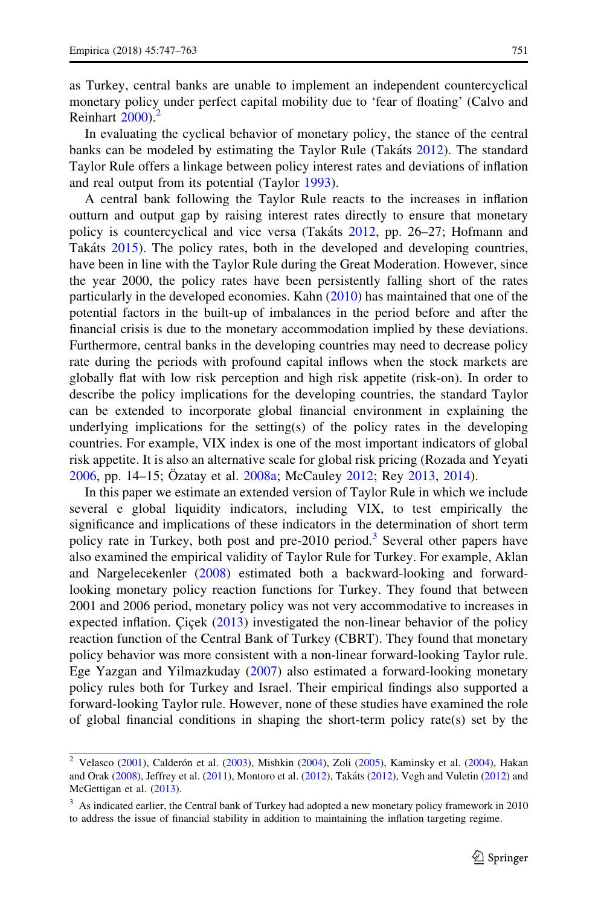as Turkey, central banks are unable to implement an independent countercyclical monetary policy under perfect capital mobility due to 'fear of floating' (Calvo and Reinhart  $2000$ .<sup>2</sup>

In evaluating the cyclical behavior of monetary policy, the stance of the central banks can be modeled by estimating the Taylor Rule (Takáts [2012](#page-16-0)). The standard Taylor Rule offers a linkage between policy interest rates and deviations of inflation and real output from its potential (Taylor [1993](#page-16-0)).

A central bank following the Taylor Rule reacts to the increases in inflation outturn and output gap by raising interest rates directly to ensure that monetary policy is countercyclical and vice versa (Takáts [2012](#page-16-0), pp. 26–27; Hofmann and Takáts [2015\)](#page-15-0). The policy rates, both in the developed and developing countries, have been in line with the Taylor Rule during the Great Moderation. However, since the year 2000, the policy rates have been persistently falling short of the rates particularly in the developed economies. Kahn ([2010\)](#page-15-0) has maintained that one of the potential factors in the built-up of imbalances in the period before and after the financial crisis is due to the monetary accommodation implied by these deviations. Furthermore, central banks in the developing countries may need to decrease policy rate during the periods with profound capital inflows when the stock markets are globally flat with low risk perception and high risk appetite (risk-on). In order to describe the policy implications for the developing countries, the standard Taylor can be extended to incorporate global financial environment in explaining the underlying implications for the setting(s) of the policy rates in the developing countries. For example, VIX index is one of the most important indicators of global risk appetite. It is also an alternative scale for global risk pricing (Rozada and Yeyati [2006,](#page-16-0) pp. 14–15; Özatay et al. [2008a;](#page-16-0) McCauley [2012;](#page-15-0) Rey [2013](#page-16-0), [2014\)](#page-16-0).

In this paper we estimate an extended version of Taylor Rule in which we include several e global liquidity indicators, including VIX, to test empirically the significance and implications of these indicators in the determination of short term policy rate in Turkey, both post and pre-2010 period.<sup>3</sup> Several other papers have also examined the empirical validity of Taylor Rule for Turkey. For example, Aklan and Nargelecekenler [\(2008](#page-14-0)) estimated both a backward-looking and forwardlooking monetary policy reaction functions for Turkey. They found that between 2001 and 2006 period, monetary policy was not very accommodative to increases in expected inflation. Cicek  $(2013)$  $(2013)$  investigated the non-linear behavior of the policy reaction function of the Central Bank of Turkey (CBRT). They found that monetary policy behavior was more consistent with a non-linear forward-looking Taylor rule. Ege Yazgan and Yilmazkuday ([2007\)](#page-14-0) also estimated a forward-looking monetary policy rules both for Turkey and Israel. Their empirical findings also supported a forward-looking Taylor rule. However, none of these studies have examined the role of global financial conditions in shaping the short-term policy rate(s) set by the

<sup>&</sup>lt;sup>2</sup> Velasco [\(2001\)](#page-16-0), Calderón et al. [\(2003](#page-14-0)), Mishkin [\(2004](#page-15-0)), Zoli ([2005](#page-16-0)), Kaminsky et al. (2004), Hakan and Orak [\(2008\)](#page-15-0), Jeffrey et al. ([2011\)](#page-15-0), Montoro et al. [\(2012](#page-16-0)), Takáts ([2012\)](#page-16-0), Vegh and Vuletin (2012) and McGettigan et al. [\(2013](#page-15-0)).

<sup>&</sup>lt;sup>3</sup> As indicated earlier, the Central bank of Turkey had adopted a new monetary policy framework in 2010 to address the issue of financial stability in addition to maintaining the inflation targeting regime.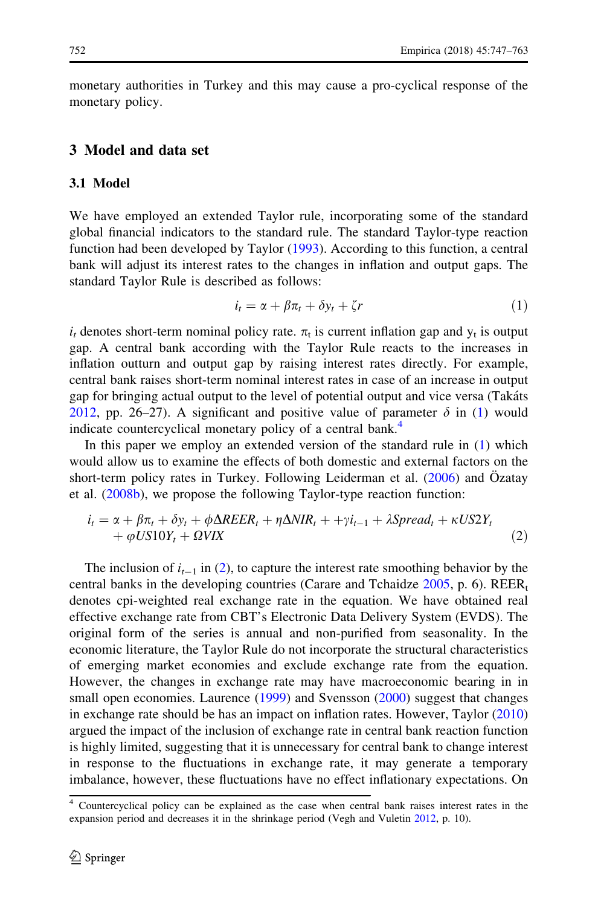<span id="page-5-0"></span>monetary authorities in Turkey and this may cause a pro-cyclical response of the monetary policy.

### 3 Model and data set

#### 3.1 Model

We have employed an extended Taylor rule, incorporating some of the standard global financial indicators to the standard rule. The standard Taylor-type reaction function had been developed by Taylor ([1993\)](#page-16-0). According to this function, a central bank will adjust its interest rates to the changes in inflation and output gaps. The standard Taylor Rule is described as follows:

$$
i_t = \alpha + \beta \pi_t + \delta y_t + \zeta r \tag{1}
$$

 $i_t$  denotes short-term nominal policy rate.  $\pi_t$  is current inflation gap and  $y_t$  is output gap. A central bank according with the Taylor Rule reacts to the increases in inflation outturn and output gap by raising interest rates directly. For example, central bank raises short-term nominal interest rates in case of an increase in output gap for bringing actual output to the level of potential output and vice versa (Taka´ts [2012,](#page-16-0) pp. 26–27). A significant and positive value of parameter  $\delta$  in (1) would indicate countercyclical monetary policy of a central bank.<sup>4</sup>

In this paper we employ an extended version of the standard rule in  $(1)$  which would allow us to examine the effects of both domestic and external factors on the short-term policy rates in Turkey. Following Leiderman et al.  $(2006)$  $(2006)$  and Ozatay et al. [\(2008b](#page-16-0)), we propose the following Taylor-type reaction function:

$$
i_t = \alpha + \beta \pi_t + \delta y_t + \phi \Delta REER_t + \eta \Delta NIR_t + \gamma i_{t-1} + \lambda S \text{pred}_t + \kappa \text{US2} Y_t + \varphi \text{US10} Y_t + \Omega \text{VIX}
$$
\n(2)

The inclusion of  $i_{t-1}$  in (2), to capture the interest rate smoothing behavior by the central banks in the developing countries (Carare and Tchaidze  $2005$ , p. 6). REER<sub>t</sub> denotes cpi-weighted real exchange rate in the equation. We have obtained real effective exchange rate from CBT's Electronic Data Delivery System (EVDS). The original form of the series is annual and non-purified from seasonality. In the economic literature, the Taylor Rule do not incorporate the structural characteristics of emerging market economies and exclude exchange rate from the equation. However, the changes in exchange rate may have macroeconomic bearing in in small open economies. Laurence ([1999\)](#page-15-0) and Svensson ([2000](#page-16-0)) suggest that changes in exchange rate should be has an impact on inflation rates. However, Taylor [\(2010](#page-16-0)) argued the impact of the inclusion of exchange rate in central bank reaction function is highly limited, suggesting that it is unnecessary for central bank to change interest in response to the fluctuations in exchange rate, it may generate a temporary imbalance, however, these fluctuations have no effect inflationary expectations. On

<sup>&</sup>lt;sup>4</sup> Countercyclical policy can be explained as the case when central bank raises interest rates in the expansion period and decreases it in the shrinkage period (Vegh and Vuletin [2012,](#page-16-0) p. 10).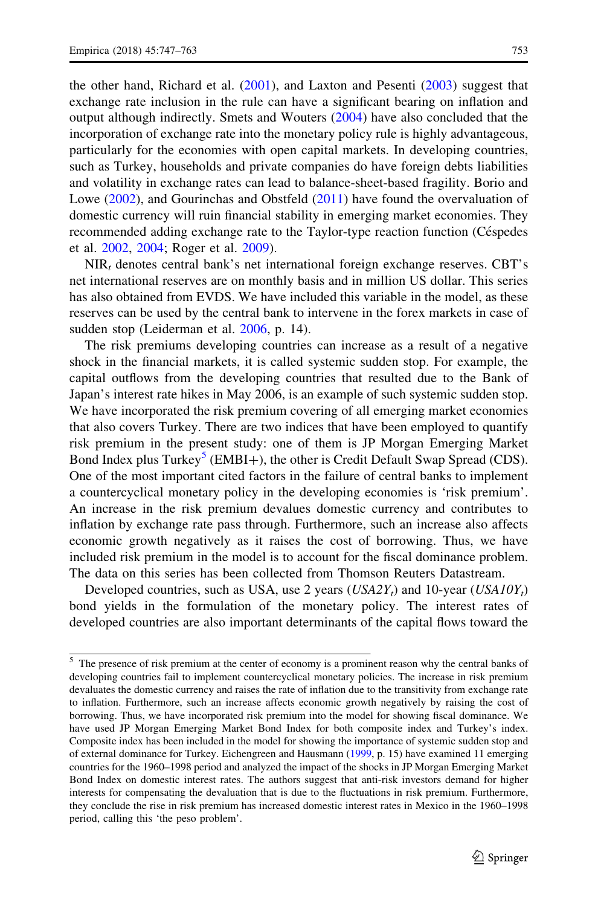the other hand, Richard et al.  $(2001)$ , and Laxton and Pesenti  $(2003)$  $(2003)$  suggest that exchange rate inclusion in the rule can have a significant bearing on inflation and output although indirectly. Smets and Wouters ([2004\)](#page-16-0) have also concluded that the incorporation of exchange rate into the monetary policy rule is highly advantageous, particularly for the economies with open capital markets. In developing countries, such as Turkey, households and private companies do have foreign debts liabilities and volatility in exchange rates can lead to balance-sheet-based fragility. Borio and Lowe ([2002\)](#page-14-0), and Gourinchas and Obstfeld ([2011\)](#page-15-0) have found the overvaluation of domestic currency will ruin financial stability in emerging market economies. They recommended adding exchange rate to the Taylor-type reaction function (Céspedes et al. [2002,](#page-14-0) [2004](#page-14-0); Roger et al. [2009](#page-16-0)).

 $NIR_t$ , denotes central bank's net international foreign exchange reserves. CBT's net international reserves are on monthly basis and in million US dollar. This series has also obtained from EVDS. We have included this variable in the model, as these reserves can be used by the central bank to intervene in the forex markets in case of sudden stop (Leiderman et al. [2006](#page-15-0), p. 14).

The risk premiums developing countries can increase as a result of a negative shock in the financial markets, it is called systemic sudden stop. For example, the capital outflows from the developing countries that resulted due to the Bank of Japan's interest rate hikes in May 2006, is an example of such systemic sudden stop. We have incorporated the risk premium covering of all emerging market economies that also covers Turkey. There are two indices that have been employed to quantify risk premium in the present study: one of them is JP Morgan Emerging Market Bond Index plus Turkey<sup>5</sup> (EMBI+), the other is Credit Default Swap Spread (CDS). One of the most important cited factors in the failure of central banks to implement a countercyclical monetary policy in the developing economies is 'risk premium'. An increase in the risk premium devalues domestic currency and contributes to inflation by exchange rate pass through. Furthermore, such an increase also affects economic growth negatively as it raises the cost of borrowing. Thus, we have included risk premium in the model is to account for the fiscal dominance problem. The data on this series has been collected from Thomson Reuters Datastream.

Developed countries, such as USA, use 2 years  $(USA2Y_t)$  and 10-year  $(USA10Y_t)$ bond yields in the formulation of the monetary policy. The interest rates of developed countries are also important determinants of the capital flows toward the

<sup>&</sup>lt;sup>5</sup> The presence of risk premium at the center of economy is a prominent reason why the central banks of developing countries fail to implement countercyclical monetary policies. The increase in risk premium devaluates the domestic currency and raises the rate of inflation due to the transitivity from exchange rate to inflation. Furthermore, such an increase affects economic growth negatively by raising the cost of borrowing. Thus, we have incorporated risk premium into the model for showing fiscal dominance. We have used JP Morgan Emerging Market Bond Index for both composite index and Turkey's index. Composite index has been included in the model for showing the importance of systemic sudden stop and of external dominance for Turkey. Eichengreen and Hausmann [\(1999](#page-14-0), p. 15) have examined 11 emerging countries for the 1960–1998 period and analyzed the impact of the shocks in JP Morgan Emerging Market Bond Index on domestic interest rates. The authors suggest that anti-risk investors demand for higher interests for compensating the devaluation that is due to the fluctuations in risk premium. Furthermore, they conclude the rise in risk premium has increased domestic interest rates in Mexico in the 1960–1998 period, calling this 'the peso problem'.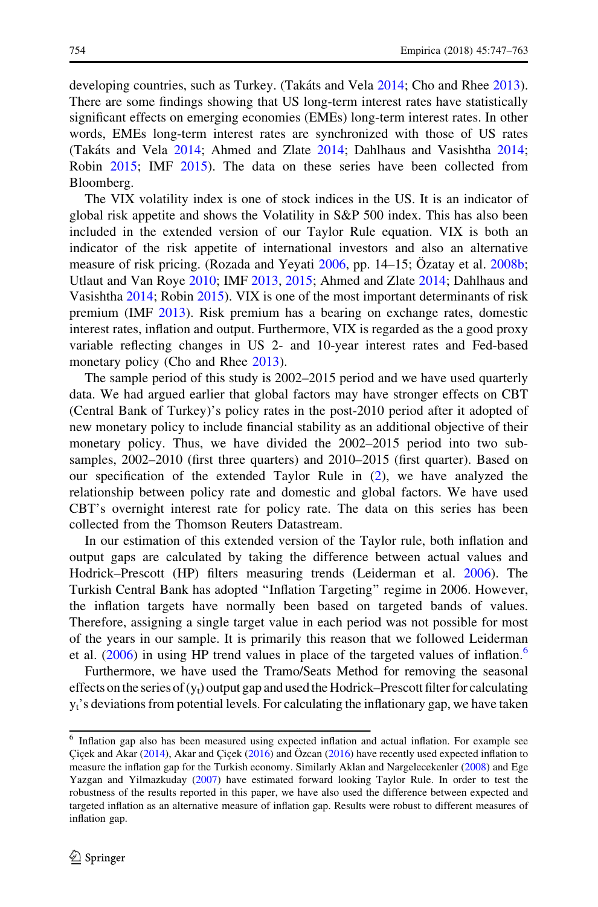developing countries, such as Turkey. (Takáts and Vela [2014](#page-16-0); Cho and Rhee [2013\)](#page-14-0). There are some findings showing that US long-term interest rates have statistically significant effects on emerging economies (EMEs) long-term interest rates. In other words, EMEs long-term interest rates are synchronized with those of US rates (Taka´ts and Vela [2014;](#page-16-0) Ahmed and Zlate [2014](#page-14-0); Dahlhaus and Vasishtha [2014;](#page-14-0) Robin [2015](#page-16-0); IMF [2015\)](#page-15-0). The data on these series have been collected from Bloomberg.

The VIX volatility index is one of stock indices in the US. It is an indicator of global risk appetite and shows the Volatility in S&P 500 index. This has also been included in the extended version of our Taylor Rule equation. VIX is both an indicator of the risk appetite of international investors and also an alternative measure of risk pricing. (Rozada and Yeyati [2006](#page-16-0), pp. 14–15; Özatay et al. [2008b;](#page-16-0) Utlaut and Van Roye [2010;](#page-16-0) IMF [2013,](#page-15-0) [2015;](#page-15-0) Ahmed and Zlate [2014;](#page-14-0) Dahlhaus and Vasishtha [2014;](#page-14-0) Robin [2015\)](#page-16-0). VIX is one of the most important determinants of risk premium (IMF [2013\)](#page-15-0). Risk premium has a bearing on exchange rates, domestic interest rates, inflation and output. Furthermore, VIX is regarded as the a good proxy variable reflecting changes in US 2- and 10-year interest rates and Fed-based monetary policy (Cho and Rhee [2013\)](#page-14-0).

The sample period of this study is 2002–2015 period and we have used quarterly data. We had argued earlier that global factors may have stronger effects on CBT (Central Bank of Turkey)'s policy rates in the post-2010 period after it adopted of new monetary policy to include financial stability as an additional objective of their monetary policy. Thus, we have divided the 2002–2015 period into two subsamples, 2002–2010 (first three quarters) and 2010–2015 (first quarter). Based on our specification of the extended Taylor Rule in ([2\)](#page-5-0), we have analyzed the relationship between policy rate and domestic and global factors. We have used CBT's overnight interest rate for policy rate. The data on this series has been collected from the Thomson Reuters Datastream.

In our estimation of this extended version of the Taylor rule, both inflation and output gaps are calculated by taking the difference between actual values and Hodrick–Prescott (HP) filters measuring trends (Leiderman et al. [2006\)](#page-15-0). The Turkish Central Bank has adopted ''Inflation Targeting'' regime in 2006. However, the inflation targets have normally been based on targeted bands of values. Therefore, assigning a single target value in each period was not possible for most of the years in our sample. It is primarily this reason that we followed Leiderman et al.  $(2006)$  $(2006)$  in using HP trend values in place of the targeted values of inflation.<sup>6</sup>

Furthermore, we have used the Tramo/Seats Method for removing the seasonal effects on the series of  $(y_t)$  output gap and used the Hodrick–Prescott filter for calculating  $y_t$ 's deviations from potential levels. For calculating the inflationary gap, we have taken

<sup>6</sup> Inflation gap also has been measured using expected inflation and actual inflation. For example see Çiçek and Akar ([2014](#page-14-0)), Akar and Çiçek ([2016](#page-16-0)) and Özcan (2016) have recently used expected inflation to measure the inflation gap for the Turkish economy. Similarly Aklan and Nargelecekenler ([2008\)](#page-14-0) and Ege Yazgan and Yilmazkuday ([2007\)](#page-14-0) have estimated forward looking Taylor Rule. In order to test the robustness of the results reported in this paper, we have also used the difference between expected and targeted inflation as an alternative measure of inflation gap. Results were robust to different measures of inflation gap.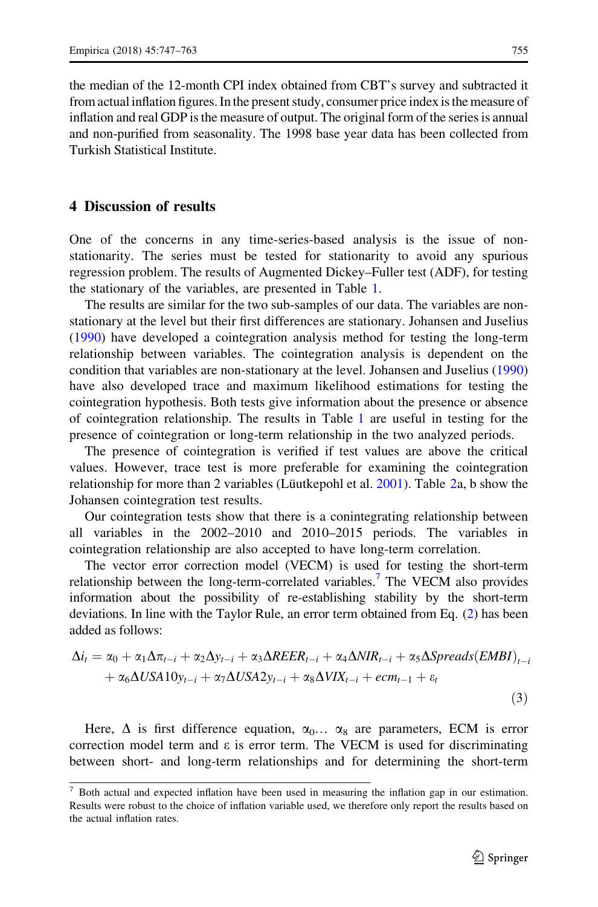<span id="page-8-0"></span>the median of the 12-month CPI index obtained from CBT's survey and subtracted it from actual inflation figures. In the present study, consumer price index is the measure of inflation and real GDP is the measure of output. The original form of the series is annual and non-purified from seasonality. The 1998 base year data has been collected from Turkish Statistical Institute.

## 4 Discussion of results

One of the concerns in any time-series-based analysis is the issue of nonstationarity. The series must be tested for stationarity to avoid any spurious regression problem. The results of Augmented Dickey–Fuller test (ADF), for testing the stationary of the variables, are presented in Table [1](#page-9-0).

The results are similar for the two sub-samples of our data. The variables are nonstationary at the level but their first differences are stationary. Johansen and Juselius [\(1990](#page-15-0)) have developed a cointegration analysis method for testing the long-term relationship between variables. The cointegration analysis is dependent on the condition that variables are non-stationary at the level. Johansen and Juselius [\(1990](#page-15-0)) have also developed trace and maximum likelihood estimations for testing the cointegration hypothesis. Both tests give information about the presence or absence of cointegration relationship. The results in Table [1](#page-9-0) are useful in testing for the presence of cointegration or long-term relationship in the two analyzed periods.

The presence of cointegration is verified if test values are above the critical values. However, trace test is more preferable for examining the cointegration relationship for more than [2](#page-10-0) variables (Lüutkepohl et al.  $2001$ ). Table 2a, b show the Johansen cointegration test results.

Our cointegration tests show that there is a conintegrating relationship between all variables in the 2002–2010 and 2010–2015 periods. The variables in cointegration relationship are also accepted to have long-term correlation.

The vector error correction model (VECM) is used for testing the short-term relationship between the long-term-correlated variables.<sup>7</sup> The VECM also provides information about the possibility of re-establishing stability by the short-term deviations. In line with the Taylor Rule, an error term obtained from Eq. [\(2](#page-5-0)) has been added as follows:

$$
\Delta i_t = \alpha_0 + \alpha_1 \Delta \pi_{t-i} + \alpha_2 \Delta y_{t-i} + \alpha_3 \Delta REER_{t-i} + \alpha_4 \Delta NIR_{t-i} + \alpha_5 \Delta Spreads(EMBI)_{t-i} + \alpha_6 \Delta USA 10y_{t-i} + \alpha_7 \Delta USA 2y_{t-i} + \alpha_8 \Delta VIX_{t-i} + ecm_{t-1} + \varepsilon_t
$$
\n(3)

Here,  $\Delta$  is first difference equation,  $\alpha_0 \dots \alpha_8$  are parameters, ECM is error correction model term and  $\varepsilon$  is error term. The VECM is used for discriminating between short- and long-term relationships and for determining the short-term

<sup>7</sup> Both actual and expected inflation have been used in measuring the inflation gap in our estimation. Results were robust to the choice of inflation variable used, we therefore only report the results based on the actual inflation rates.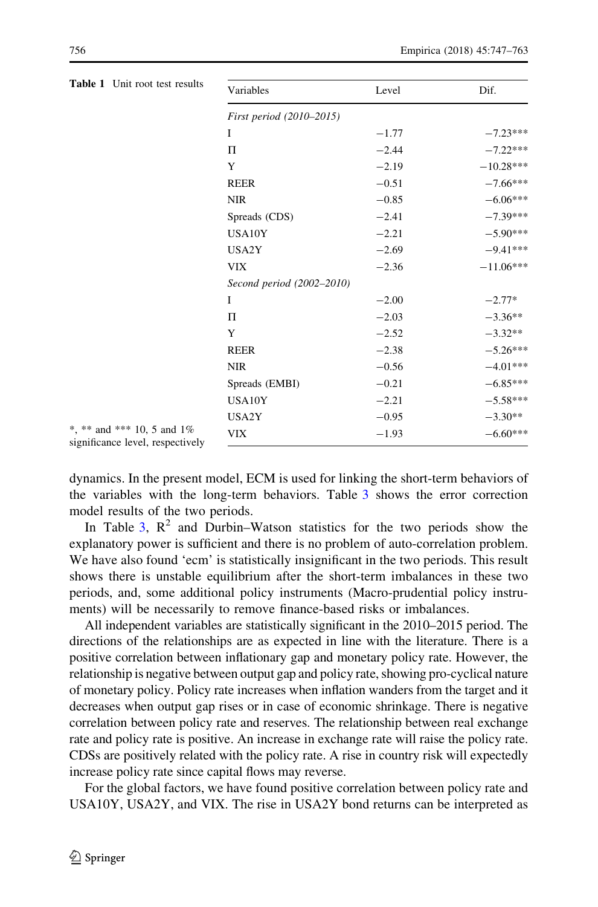<span id="page-9-0"></span>

| <b>Table 1</b> Unit root test results<br>* ** and *** 10, 5 and 1%<br>significance level, respectively | Variables                 | Level   | Dif.        |  |  |
|--------------------------------------------------------------------------------------------------------|---------------------------|---------|-------------|--|--|
|                                                                                                        | First period (2010-2015)  |         |             |  |  |
|                                                                                                        | Ι                         | $-1.77$ | $-7.23***$  |  |  |
|                                                                                                        | Π                         | $-2.44$ | $-7.22***$  |  |  |
|                                                                                                        | Y                         | $-2.19$ | $-10.28***$ |  |  |
|                                                                                                        | <b>REER</b>               | $-0.51$ | $-7.66***$  |  |  |
|                                                                                                        | <b>NIR</b>                | $-0.85$ | $-6.06***$  |  |  |
|                                                                                                        | Spreads (CDS)             | $-2.41$ | $-7.39***$  |  |  |
|                                                                                                        | USA10Y                    | $-2.21$ | $-5.90***$  |  |  |
|                                                                                                        | USA2Y                     | $-2.69$ | $-9.41***$  |  |  |
|                                                                                                        | <b>VIX</b>                | $-2.36$ | $-11.06***$ |  |  |
|                                                                                                        | Second period (2002-2010) |         |             |  |  |
|                                                                                                        | $\bf{I}$                  | $-2.00$ | $-2.77*$    |  |  |
|                                                                                                        | $\Pi$                     | $-2.03$ | $-3.36**$   |  |  |
|                                                                                                        | Y                         | $-2.52$ | $-3.32**$   |  |  |
|                                                                                                        | <b>REER</b>               | $-2.38$ | $-5.26***$  |  |  |
|                                                                                                        | <b>NIR</b>                | $-0.56$ | $-4.01***$  |  |  |
|                                                                                                        | Spreads (EMBI)            | $-0.21$ | $-6.85***$  |  |  |
|                                                                                                        | USA10Y                    | $-2.21$ | $-5.58***$  |  |  |
|                                                                                                        | USA2Y                     | $-0.95$ | $-3.30**$   |  |  |
|                                                                                                        | <b>VIX</b>                | $-1.93$ | $-6.60***$  |  |  |

dynamics. In the present model, ECM is used for linking the short-term behaviors of the variables with the long-term behaviors. Table [3](#page-11-0) shows the error correction model results of the two periods.

In Table [3](#page-11-0),  $R^2$  and Durbin–Watson statistics for the two periods show the explanatory power is sufficient and there is no problem of auto-correlation problem. We have also found 'ecm' is statistically insignificant in the two periods. This result shows there is unstable equilibrium after the short-term imbalances in these two periods, and, some additional policy instruments (Macro-prudential policy instruments) will be necessarily to remove finance-based risks or imbalances.

All independent variables are statistically significant in the 2010–2015 period. The directions of the relationships are as expected in line with the literature. There is a positive correlation between inflationary gap and monetary policy rate. However, the relationship is negative between output gap and policy rate, showing pro-cyclical nature of monetary policy. Policy rate increases when inflation wanders from the target and it decreases when output gap rises or in case of economic shrinkage. There is negative correlation between policy rate and reserves. The relationship between real exchange rate and policy rate is positive. An increase in exchange rate will raise the policy rate. CDSs are positively related with the policy rate. A rise in country risk will expectedly increase policy rate since capital flows may reverse.

For the global factors, we have found positive correlation between policy rate and USA10Y, USA2Y, and VIX. The rise in USA2Y bond returns can be interpreted as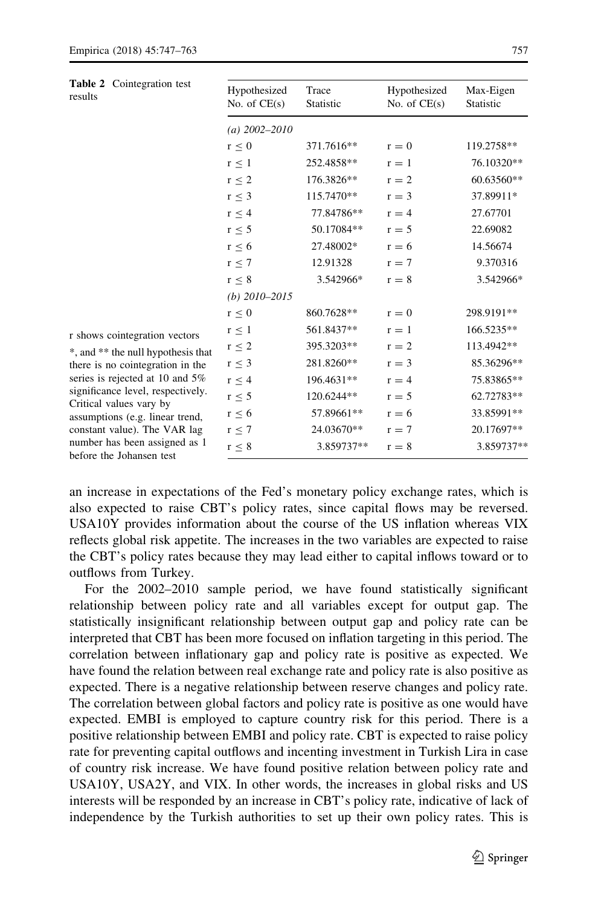<span id="page-10-0"></span>

| <b>Table 2</b> Cointegration test<br>results                                                                                                                                                                                                                                                                                               | Hypothesized<br>No. of $CE(s)$ | Trace<br>Statistic | Hypothesized<br>No. of $CE(s)$ | Max-Eigen<br><b>Statistic</b> |
|--------------------------------------------------------------------------------------------------------------------------------------------------------------------------------------------------------------------------------------------------------------------------------------------------------------------------------------------|--------------------------------|--------------------|--------------------------------|-------------------------------|
|                                                                                                                                                                                                                                                                                                                                            | (a) $2002 - 2010$              |                    |                                |                               |
|                                                                                                                                                                                                                                                                                                                                            | $r \leq 0$                     | 371.7616**         | $r = 0$                        | 119.2758**                    |
| r shows cointegration vectors<br>*, and ** the null hypothesis that<br>there is no cointegration in the<br>series is rejected at 10 and 5%<br>significance level, respectively.<br>Critical values vary by<br>assumptions (e.g. linear trend,<br>constant value). The VAR lag<br>number has been assigned as 1<br>before the Johansen test | $r\,\leq\,1$                   | 252.4858**         | $r = 1$                        | 76.10320**                    |
|                                                                                                                                                                                                                                                                                                                                            | $r \leq 2$                     | 176.3826**         | $r = 2$                        | 60.63560**                    |
|                                                                                                                                                                                                                                                                                                                                            | $r \leq 3$                     | 115.7470**         | $r = 3$                        | 37.89911*                     |
|                                                                                                                                                                                                                                                                                                                                            | $r \leq 4$                     | 77.84786**         | $r = 4$                        | 27.67701                      |
|                                                                                                                                                                                                                                                                                                                                            | $r \leq 5$                     | 50.17084**         | $r = 5$                        | 22.69082                      |
|                                                                                                                                                                                                                                                                                                                                            | $r \leq 6$                     | 27.48002*          | $r = 6$                        | 14.56674                      |
|                                                                                                                                                                                                                                                                                                                                            | $r \leq 7$                     | 12.91328           | $r = 7$                        | 9.370316                      |
|                                                                                                                                                                                                                                                                                                                                            | $r \leq 8$                     | 3.542966*          | $r = 8$                        | 3.542966*                     |
|                                                                                                                                                                                                                                                                                                                                            | $(b)$ 2010-2015                |                    |                                |                               |
|                                                                                                                                                                                                                                                                                                                                            | $r \leq 0$                     | 860.7628**         | $r = 0$                        | 298.9191**                    |
|                                                                                                                                                                                                                                                                                                                                            | $r \leq 1$                     | 561.8437**         | $r = 1$                        | 166.5235**                    |
|                                                                                                                                                                                                                                                                                                                                            | $r \leq 2$                     | 395.3203**         | $r = 2$                        | 113.4942**                    |
|                                                                                                                                                                                                                                                                                                                                            | $r \leq 3$                     | 281.8260**         | $r = 3$                        | 85.36296**                    |
|                                                                                                                                                                                                                                                                                                                                            | $r \leq 4$                     | 196.4631**         | $r = 4$                        | 75.83865**                    |
|                                                                                                                                                                                                                                                                                                                                            | $r \leq 5$                     | 120.6244**         | $r = 5$                        | 62.72783**                    |
|                                                                                                                                                                                                                                                                                                                                            | $r \leq 6$                     | 57.89661**         | $r = 6$                        | 33.85991**                    |
|                                                                                                                                                                                                                                                                                                                                            | $r \leq 7$                     | 24.03670**         | $r = 7$                        | 20.17697**                    |
|                                                                                                                                                                                                                                                                                                                                            | $r\,\leq\,8$                   | 3.859737**         | $r = 8$                        | 3.859737**                    |

an increase in expectations of the Fed's monetary policy exchange rates, which is also expected to raise CBT's policy rates, since capital flows may be reversed. USA10Y provides information about the course of the US inflation whereas VIX reflects global risk appetite. The increases in the two variables are expected to raise the CBT's policy rates because they may lead either to capital inflows toward or to outflows from Turkey.

For the 2002–2010 sample period, we have found statistically significant relationship between policy rate and all variables except for output gap. The statistically insignificant relationship between output gap and policy rate can be interpreted that CBT has been more focused on inflation targeting in this period. The correlation between inflationary gap and policy rate is positive as expected. We have found the relation between real exchange rate and policy rate is also positive as expected. There is a negative relationship between reserve changes and policy rate. The correlation between global factors and policy rate is positive as one would have expected. EMBI is employed to capture country risk for this period. There is a positive relationship between EMBI and policy rate. CBT is expected to raise policy rate for preventing capital outflows and incenting investment in Turkish Lira in case of country risk increase. We have found positive relation between policy rate and USA10Y, USA2Y, and VIX. In other words, the increases in global risks and US interests will be responded by an increase in CBT's policy rate, indicative of lack of independence by the Turkish authorities to set up their own policy rates. This is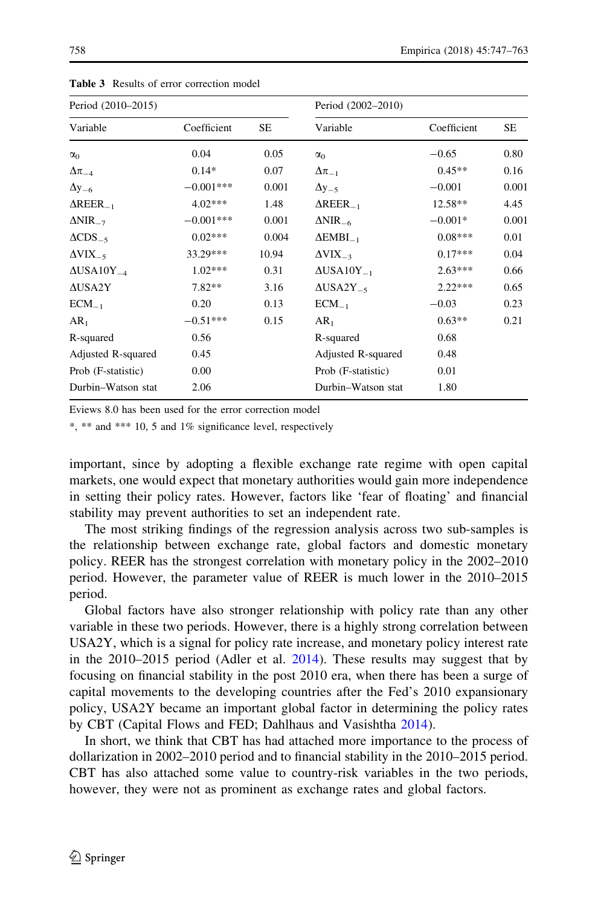| Period (2010–2015)            |             |       | Period (2002-2010)              |             |       |
|-------------------------------|-------------|-------|---------------------------------|-------------|-------|
| Variable                      | Coefficient | SE    | Variable                        | Coefficient | SE.   |
| $\alpha_0$                    | 0.04        | 0.05  | $\alpha_0$                      | $-0.65$     | 0.80  |
| $\Delta\pi_{-4}$              | $0.14*$     | 0.07  | $\Delta \pi_{-1}$               | $0.45**$    | 0.16  |
| $\Delta y_{-6}$               | $-0.001***$ | 0.001 | $\Delta y_{-5}$                 | $-0.001$    | 0.001 |
| $\Delta$ REER <sub>-1</sub>   | $4.02***$   | 1.48  | $\Delta$ REER <sub>-1</sub>     | $12.58**$   | 4.45  |
| $\Delta$ NIR <sub>-7</sub>    | $-0.001***$ | 0.001 | $\triangle NIR_{-6}$            | $-0.001*$   | 0.001 |
| $\triangle CDS_{-5}$          | $0.02***$   | 0.004 | $\Delta$ EMBI <sub>-1</sub>     | $0.08***$   | 0.01  |
| $\Delta VIX_{-5}$             | 33.29***    | 10.94 | $\Delta VIX_{-3}$               | $0.17***$   | 0.04  |
| $\Delta$ USA10Y <sub>-4</sub> | $1.02***$   | 0.31  | $\Delta$ USA10Y <sub>-1</sub>   | $2.63***$   | 0.66  |
| <b>AUSA2Y</b>                 | $7.82**$    | 3.16  | $\triangle$ USA2Y <sub>-5</sub> | $2.22***$   | 0.65  |
| $ECM_{-1}$                    | 0.20        | 0.13  | $ECM_{-1}$                      | $-0.03$     | 0.23  |
| AR <sub>1</sub>               | $-0.51***$  | 0.15  | AR <sub>1</sub>                 | $0.63**$    | 0.21  |
| R-squared                     | 0.56        |       | R-squared                       | 0.68        |       |
| Adjusted R-squared            | 0.45        |       | Adjusted R-squared              | 0.48        |       |
| Prob (F-statistic)            | 0.00        |       | Prob (F-statistic)              | 0.01        |       |
| Durbin-Watson stat            | 2.06        |       | Durbin-Watson stat              | 1.80        |       |

<span id="page-11-0"></span>Table 3 Results of error correction model

Eviews 8.0 has been used for the error correction model

\*, \*\* and \*\*\* 10, 5 and 1% significance level, respectively

important, since by adopting a flexible exchange rate regime with open capital markets, one would expect that monetary authorities would gain more independence in setting their policy rates. However, factors like 'fear of floating' and financial stability may prevent authorities to set an independent rate.

The most striking findings of the regression analysis across two sub-samples is the relationship between exchange rate, global factors and domestic monetary policy. REER has the strongest correlation with monetary policy in the 2002–2010 period. However, the parameter value of REER is much lower in the 2010–2015 period.

Global factors have also stronger relationship with policy rate than any other variable in these two periods. However, there is a highly strong correlation between USA2Y, which is a signal for policy rate increase, and monetary policy interest rate in the 2010–2015 period (Adler et al. [2014\)](#page-14-0). These results may suggest that by focusing on financial stability in the post 2010 era, when there has been a surge of capital movements to the developing countries after the Fed's 2010 expansionary policy, USA2Y became an important global factor in determining the policy rates by CBT (Capital Flows and FED; Dahlhaus and Vasishtha [2014\)](#page-14-0).

In short, we think that CBT has had attached more importance to the process of dollarization in 2002–2010 period and to financial stability in the 2010–2015 period. CBT has also attached some value to country-risk variables in the two periods, however, they were not as prominent as exchange rates and global factors.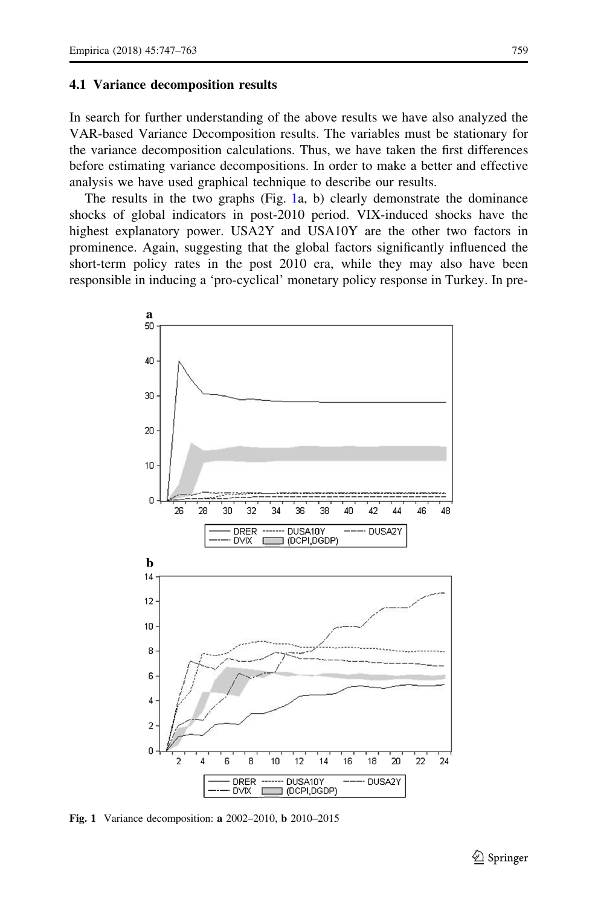#### 4.1 Variance decomposition results

In search for further understanding of the above results we have also analyzed the VAR-based Variance Decomposition results. The variables must be stationary for the variance decomposition calculations. Thus, we have taken the first differences before estimating variance decompositions. In order to make a better and effective analysis we have used graphical technique to describe our results.

The results in the two graphs (Fig. 1a, b) clearly demonstrate the dominance shocks of global indicators in post-2010 period. VIX-induced shocks have the highest explanatory power. USA2Y and USA10Y are the other two factors in prominence. Again, suggesting that the global factors significantly influenced the short-term policy rates in the post 2010 era, while they may also have been responsible in inducing a 'pro-cyclical' monetary policy response in Turkey. In pre-



Fig. 1 Variance decomposition: a 2002–2010, b 2010–2015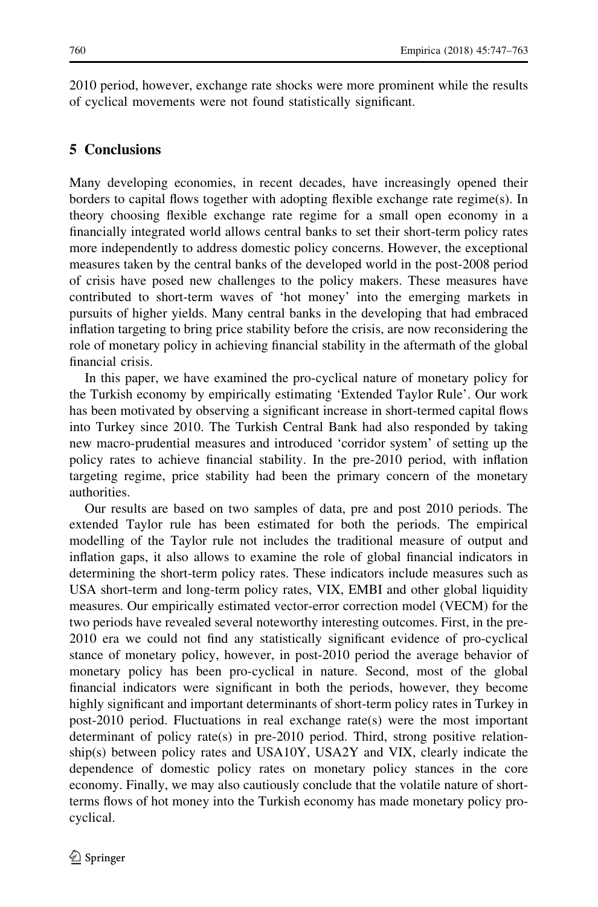<span id="page-13-0"></span>2010 period, however, exchange rate shocks were more prominent while the results of cyclical movements were not found statistically significant.

# 5 Conclusions

Many developing economies, in recent decades, have increasingly opened their borders to capital flows together with adopting flexible exchange rate regime(s). In theory choosing flexible exchange rate regime for a small open economy in a financially integrated world allows central banks to set their short-term policy rates more independently to address domestic policy concerns. However, the exceptional measures taken by the central banks of the developed world in the post-2008 period of crisis have posed new challenges to the policy makers. These measures have contributed to short-term waves of 'hot money' into the emerging markets in pursuits of higher yields. Many central banks in the developing that had embraced inflation targeting to bring price stability before the crisis, are now reconsidering the role of monetary policy in achieving financial stability in the aftermath of the global financial crisis.

In this paper, we have examined the pro-cyclical nature of monetary policy for the Turkish economy by empirically estimating 'Extended Taylor Rule'. Our work has been motivated by observing a significant increase in short-termed capital flows into Turkey since 2010. The Turkish Central Bank had also responded by taking new macro-prudential measures and introduced 'corridor system' of setting up the policy rates to achieve financial stability. In the pre-2010 period, with inflation targeting regime, price stability had been the primary concern of the monetary authorities.

Our results are based on two samples of data, pre and post 2010 periods. The extended Taylor rule has been estimated for both the periods. The empirical modelling of the Taylor rule not includes the traditional measure of output and inflation gaps, it also allows to examine the role of global financial indicators in determining the short-term policy rates. These indicators include measures such as USA short-term and long-term policy rates, VIX, EMBI and other global liquidity measures. Our empirically estimated vector-error correction model (VECM) for the two periods have revealed several noteworthy interesting outcomes. First, in the pre-2010 era we could not find any statistically significant evidence of pro-cyclical stance of monetary policy, however, in post-2010 period the average behavior of monetary policy has been pro-cyclical in nature. Second, most of the global financial indicators were significant in both the periods, however, they become highly significant and important determinants of short-term policy rates in Turkey in post-2010 period. Fluctuations in real exchange rate(s) were the most important determinant of policy rate(s) in pre-2010 period. Third, strong positive relationship(s) between policy rates and USA10Y, USA2Y and VIX, clearly indicate the dependence of domestic policy rates on monetary policy stances in the core economy. Finally, we may also cautiously conclude that the volatile nature of shortterms flows of hot money into the Turkish economy has made monetary policy procyclical.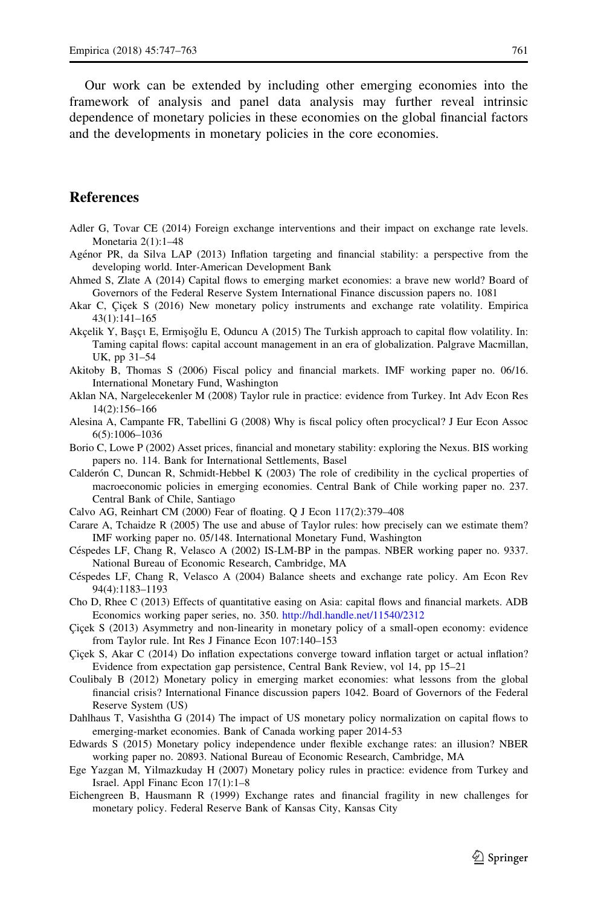<span id="page-14-0"></span>Our work can be extended by including other emerging economies into the framework of analysis and panel data analysis may further reveal intrinsic dependence of monetary policies in these economies on the global financial factors and the developments in monetary policies in the core economies.

## **References**

- Adler G, Tovar CE (2014) Foreign exchange interventions and their impact on exchange rate levels. Monetaria 2(1):1–48
- Age´nor PR, da Silva LAP (2013) Inflation targeting and financial stability: a perspective from the developing world. Inter-American Development Bank
- Ahmed S, Zlate A (2014) Capital flows to emerging market economies: a brave new world? Board of Governors of the Federal Reserve System International Finance discussion papers no. 1081
- Akar C, Çiçek S (2016) New monetary policy instruments and exchange rate volatility. Empirica 43(1):141–165
- Akçelik Y, Başçı E, Ermişoğlu E, Oduncu A (2015) The Turkish approach to capital flow volatility. In: Taming capital flows: capital account management in an era of globalization. Palgrave Macmillan, UK, pp 31–54
- Akitoby B, Thomas S (2006) Fiscal policy and financial markets. IMF working paper no. 06/16. International Monetary Fund, Washington
- Aklan NA, Nargelecekenler M (2008) Taylor rule in practice: evidence from Turkey. Int Adv Econ Res 14(2):156–166
- Alesina A, Campante FR, Tabellini G (2008) Why is fiscal policy often procyclical? J Eur Econ Assoc 6(5):1006–1036
- Borio C, Lowe P (2002) Asset prices, financial and monetary stability: exploring the Nexus. BIS working papers no. 114. Bank for International Settlements, Basel
- Calderón C, Duncan R, Schmidt-Hebbel K (2003) The role of credibility in the cyclical properties of macroeconomic policies in emerging economies. Central Bank of Chile working paper no. 237. Central Bank of Chile, Santiago
- Calvo AG, Reinhart CM (2000) Fear of floating. Q J Econ 117(2):379–408
- Carare A, Tchaidze R (2005) The use and abuse of Taylor rules: how precisely can we estimate them? IMF working paper no. 05/148. International Monetary Fund, Washington
- Céspedes LF, Chang R, Velasco A (2002) IS-LM-BP in the pampas. NBER working paper no. 9337. National Bureau of Economic Research, Cambridge, MA
- Céspedes LF, Chang R, Velasco A (2004) Balance sheets and exchange rate policy. Am Econ Rev 94(4):1183–1193
- Cho D, Rhee C (2013) Effects of quantitative easing on Asia: capital flows and financial markets. ADB Economics working paper series, no. 350. <http://hdl.handle.net/11540/2312>
- Cicek S (2013) Asymmetry and non-linearity in monetary policy of a small-open economy: evidence from Taylor rule. Int Res J Finance Econ 107:140–153
- Cicek S, Akar C (2014) Do inflation expectations converge toward inflation target or actual inflation? Evidence from expectation gap persistence, Central Bank Review, vol 14, pp 15–21
- Coulibaly B (2012) Monetary policy in emerging market economies: what lessons from the global financial crisis? International Finance discussion papers 1042. Board of Governors of the Federal Reserve System (US)
- Dahlhaus T, Vasishtha G (2014) The impact of US monetary policy normalization on capital flows to emerging-market economies. Bank of Canada working paper 2014-53
- Edwards S (2015) Monetary policy independence under flexible exchange rates: an illusion? NBER working paper no. 20893. National Bureau of Economic Research, Cambridge, MA
- Ege Yazgan M, Yilmazkuday H (2007) Monetary policy rules in practice: evidence from Turkey and Israel. Appl Financ Econ 17(1):1–8
- Eichengreen B, Hausmann R (1999) Exchange rates and financial fragility in new challenges for monetary policy. Federal Reserve Bank of Kansas City, Kansas City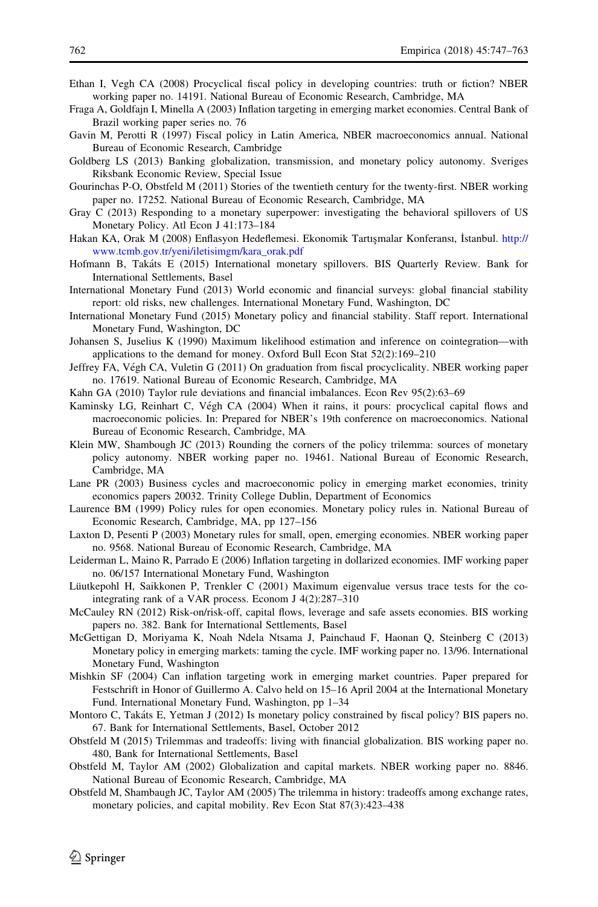- <span id="page-15-0"></span>Ethan I, Vegh CA (2008) Procyclical fiscal policy in developing countries: truth or fiction? NBER working paper no. 14191. National Bureau of Economic Research, Cambridge, MA
- Fraga A, Goldfajn I, Minella A (2003) Inflation targeting in emerging market economies. Central Bank of Brazil working paper series no. 76
- Gavin M, Perotti R (1997) Fiscal policy in Latin America, NBER macroeconomics annual. National Bureau of Economic Research, Cambridge
- Goldberg LS (2013) Banking globalization, transmission, and monetary policy autonomy. Sveriges Riksbank Economic Review, Special Issue
- Gourinchas P-O, Obstfeld M (2011) Stories of the twentieth century for the twenty-first. NBER working paper no. 17252. National Bureau of Economic Research, Cambridge, MA
- Gray C (2013) Responding to a monetary superpower: investigating the behavioral spillovers of US Monetary Policy. Atl Econ J 41:173–184
- Hakan KA, Orak M (2008) Enflasyon Hedeflemesi. Ekonomik Tartısmalar Konferansı, İstanbul. [http://](http://www.tcmb.gov.tr/yeni/iletisimgm/kara_orak.pdf) [www.tcmb.gov.tr/yeni/iletisimgm/kara\\_orak.pdf](http://www.tcmb.gov.tr/yeni/iletisimgm/kara_orak.pdf)
- Hofmann B, Takáts E (2015) International monetary spillovers. BIS Quarterly Review. Bank for International Settlements, Basel
- International Monetary Fund (2013) World economic and financial surveys: global financial stability report: old risks, new challenges. International Monetary Fund, Washington, DC
- International Monetary Fund (2015) Monetary policy and financial stability. Staff report. International Monetary Fund, Washington, DC
- Johansen S, Juselius K (1990) Maximum likelihood estimation and inference on cointegration—with applications to the demand for money. Oxford Bull Econ Stat 52(2):169–210
- Jeffrey FA, Végh CA, Vuletin G (2011) On graduation from fiscal procyclicality. NBER working paper no. 17619. National Bureau of Economic Research, Cambridge, MA
- Kahn GA (2010) Taylor rule deviations and financial imbalances. Econ Rev 95(2):63–69
- Kaminsky LG, Reinhart C, Végh CA (2004) When it rains, it pours: procyclical capital flows and macroeconomic policies. In: Prepared for NBER's 19th conference on macroeconomics. National Bureau of Economic Research, Cambridge, MA
- Klein MW, Shambough JC (2013) Rounding the corners of the policy trilemma: sources of monetary policy autonomy. NBER working paper no. 19461. National Bureau of Economic Research, Cambridge, MA
- Lane PR (2003) Business cycles and macroeconomic policy in emerging market economies, trinity economics papers 20032. Trinity College Dublin, Department of Economics
- Laurence BM (1999) Policy rules for open economies. Monetary policy rules in. National Bureau of Economic Research, Cambridge, MA, pp 127–156
- Laxton D, Pesenti P (2003) Monetary rules for small, open, emerging economies. NBER working paper no. 9568. National Bureau of Economic Research, Cambridge, MA
- Leiderman L, Maino R, Parrado E (2006) Inflation targeting in dollarized economies. IMF working paper no. 06/157 International Monetary Fund, Washington
- Lüutkepohl H, Saikkonen P, Trenkler C (2001) Maximum eigenvalue versus trace tests for the cointegrating rank of a VAR process. Econom J 4(2):287–310
- McCauley RN (2012) Risk-on/risk-off, capital flows, leverage and safe assets economies. BIS working papers no. 382. Bank for International Settlements, Basel
- McGettigan D, Moriyama K, Noah Ndela Ntsama J, Painchaud F, Haonan Q, Steinberg C (2013) Monetary policy in emerging markets: taming the cycle. IMF working paper no. 13/96. International Monetary Fund, Washington
- Mishkin SF (2004) Can inflation targeting work in emerging market countries. Paper prepared for Festschrift in Honor of Guillermo A. Calvo held on 15–16 April 2004 at the International Monetary Fund. International Monetary Fund, Washington, pp 1–34
- Montoro C, Takáts E, Yetman J (2012) Is monetary policy constrained by fiscal policy? BIS papers no. 67. Bank for International Settlements, Basel, October 2012
- Obstfeld M (2015) Trilemmas and tradeoffs: living with financial globalization. BIS working paper no. 480, Bank for International Settlements, Basel
- Obstfeld M, Taylor AM (2002) Globalization and capital markets. NBER working paper no. 8846. National Bureau of Economic Research, Cambridge, MA
- Obstfeld M, Shambaugh JC, Taylor AM (2005) The trilemma in history: tradeoffs among exchange rates, monetary policies, and capital mobility. Rev Econ Stat 87(3):423–438